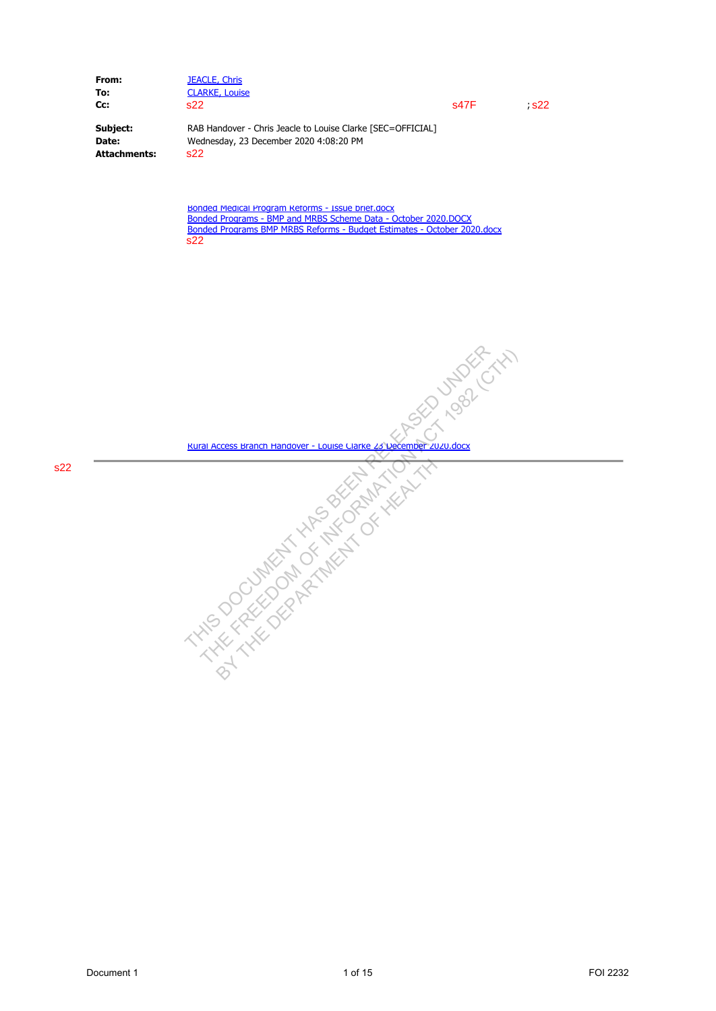| From:        | <b>JEACLE, Chris</b>                                        |      |       |
|--------------|-------------------------------------------------------------|------|-------|
| To:          | <b>CLARKE, Louise</b>                                       |      |       |
| Cc:          | s22                                                         | s47F | - s22 |
| Subject:     | RAB Handover - Chris Jeacle to Louise Clarke [SEC=OFFICIAL] |      |       |
| Date:        | Wednesday, 23 December 2020 4:08:20 PM                      |      |       |
| Attachments: | S <sub>22</sub>                                             |      |       |

Bonded Medical Program Reforms - Issue brief.docx Bonded Programs - BMP and MRBS Scheme Data - October 2020.DOCX Bonded Programs BMP MRBS Reforms - Budget Estimates - October 2020.docx  $\overline{s22}$ 

Rural Access Branch Handover - Louise Clarke 23 December 2020.docx Document 1 1 of 15 FOI 2232 THIS DOCUMENT HAS BEEN RELEASED UNDER THE FREEDOM OF INFORMATION ACT 1982 (CTH)

BY THE DEPARTMENT OF HEALTH TO THE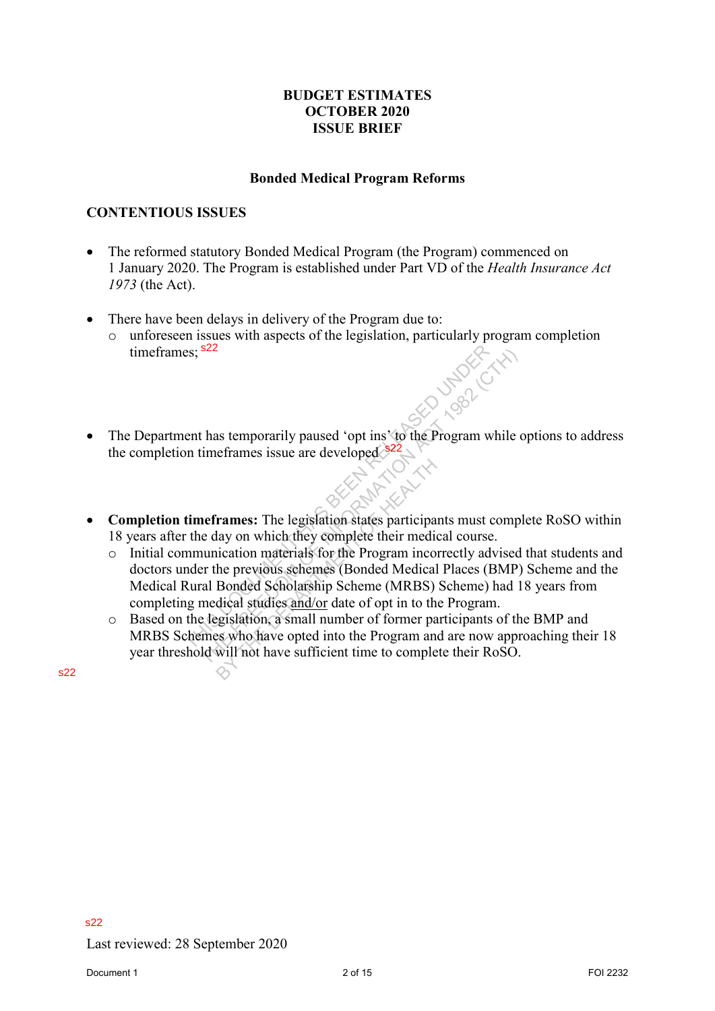## **BUDGET ESTIMATES OCTOBER 2020 ISSUE BRIEF**

### **Bonded Medical Program Reforms**

## **CONTENTIOUS ISSUES**

- The reformed statutory Bonded Medical Program (the Program) commenced on 1 January 2020. The Program is established under Part VD of the *Health Insurance Act 1973* (the Act).
- There have been delays in delivery of the Program due to:
	- o unforeseen issues with aspects of the legislation, particularly program completion timeframes; <sup>s22</sup>
- The Department has temporarily paused 'opt ins' to the Program while options to address the completion timeframes issue are developed \$22
- **Completion timeframes:** The legislation states participants must complete RoSO within 18 years after the day on which they complete their medical course.
- o Initial communication materials for the Program incorrectly advised that students and doctors under the previous schemes (Bonded Medical Places (BMP) Scheme and the Medical Rural Bonded Scholarship Scheme (MRBS) Scheme) had 18 years from completing medical studies and/or date of opt in to the Program. time frames;  $^{222}$ <br> **Conspletion** thas temporarily paused 'opt ins' to the Program while options to address<br>
the completion time<br>frames: The legislation states participants must complete ReSO within<br>
18 years after the The state of the Brogram while the state of the Section of the Section of the Section while time<br>frames issue are developed  $\frac{322}{22}$ .<br>**Act 1982** (CTH) and the state participants must complete day on which they complet Frames: The legislation states participa<br>lay on which they complete their medi-<br>iication materials for the Program inco<br>he previous schemes (Bonded Medical<br>Bonded Scholarship Scheme (MRBS)<br>dical studies and/or date of opt
	- o Based on the legislation, a small number of former participants of the BMP and MRBS Schemes who have opted into the Program and are now approaching their 18 year threshold will not have sufficient time to complete their RoSO.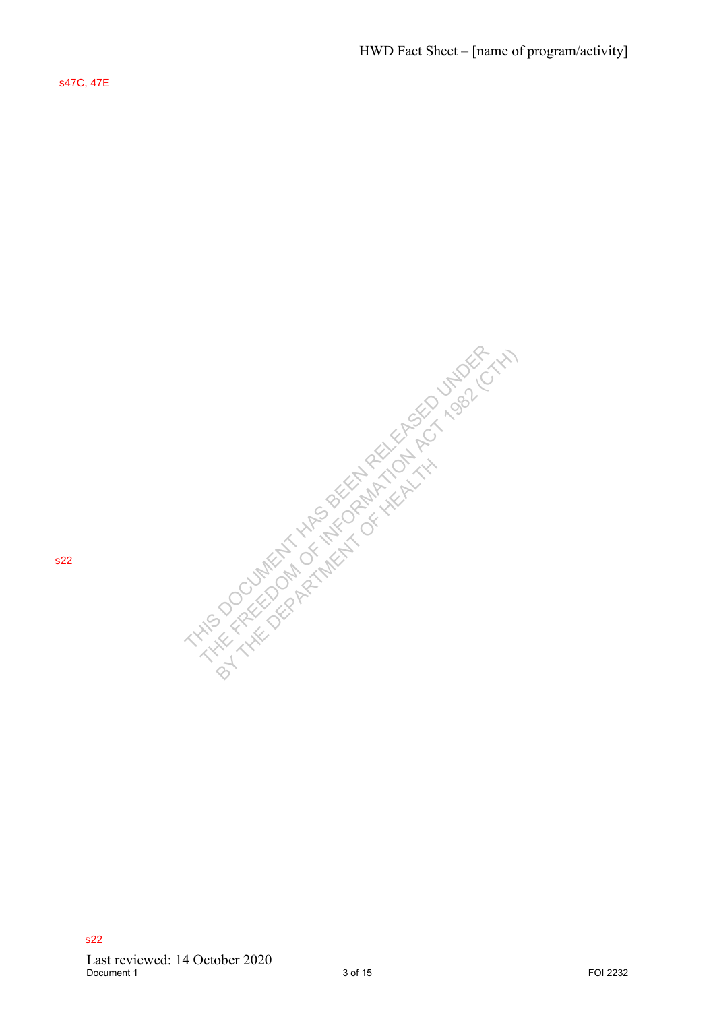s47C, 47E

POST THE FREEDOM CONTROL TO A THIS DOCUMENT HAS BEEN RELEASED UNDER THE FREEDOM CONTROL TO A THIS DOCUMENT HAS BEEN RELEASED UNDER THE FREEDOM CONTROL TO A THIS DOCUMENT HAS BEEN RELEASED UNDER THE FREEDOM CONTROL TO A THI BY THE DEPARTMENT OF HEALTH AND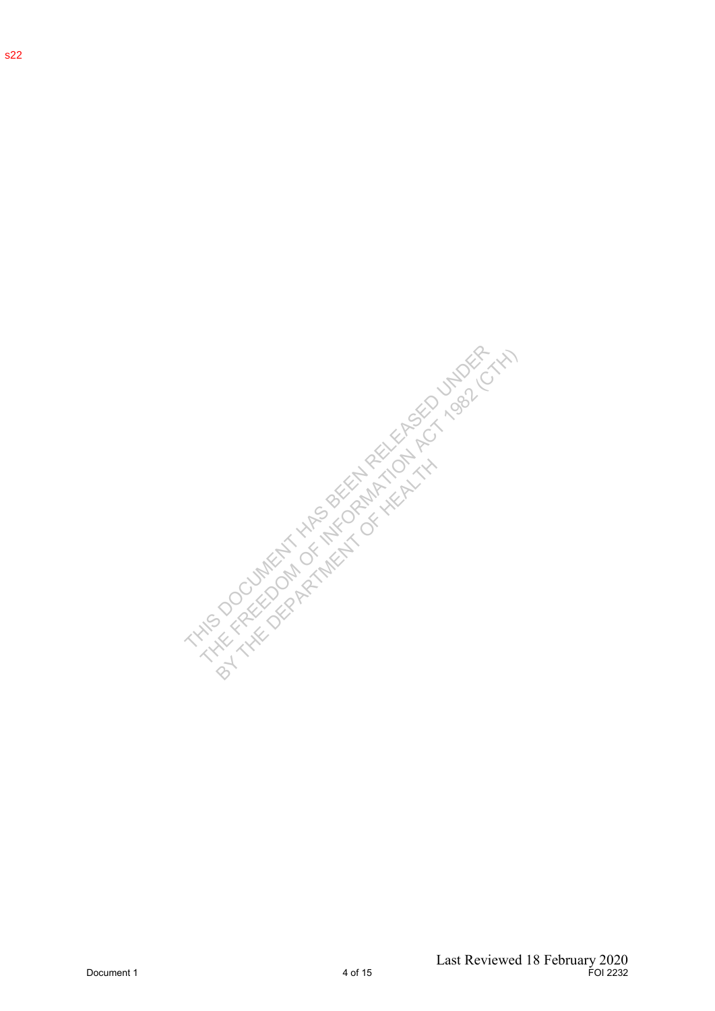s22

Document 1<br>
Document 1<br>
Document 1<br>
Document 1<br>
Document 1<br>
Document 1<br>
Last Reviewed 18 February 2020<br>
Document 1<br>
Last Reviewed 18 February 2020 BY THE DEPARTMENT OF HEALTH AND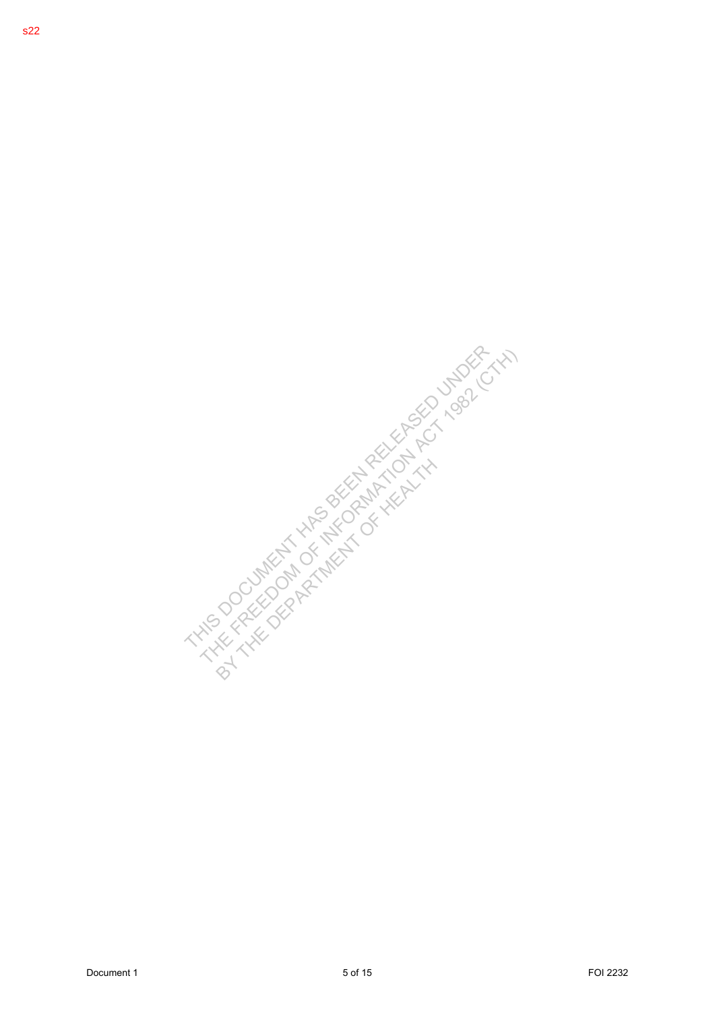DOCUMENT 1 5 OF 15 OF 15 OF 1982 THE FREEDOM COMPANY THAT IS A RELEASED UNDER THE FREEDOM COMPANY THAT IS A RELEASED UNDER THE FREEDOM COMPANY THAT IS A RELEASED UNDER THE FREEDOM COMPANY THAT IS A RELEASED UNDER THE FREED BY THE DEPARTMENT OF HEALTH AND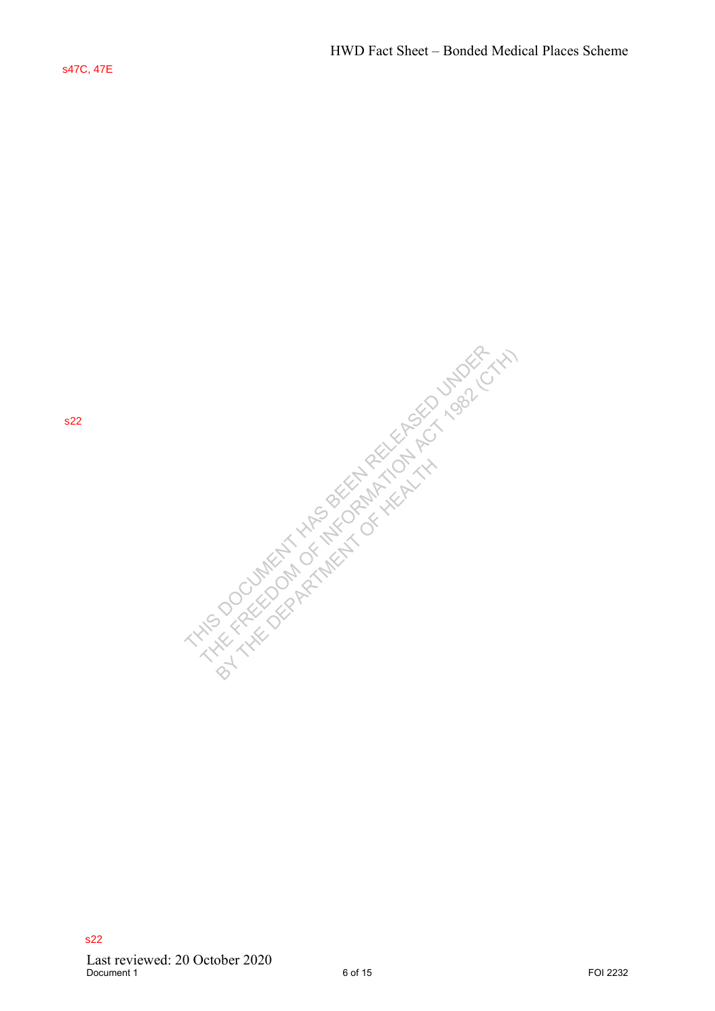s22

 $\begin{minipage}{0.9\textwidth} \begin{tabular}{|c|c|c|c|c|} \hline \textbf{222} & \textbf{23.5} & \textbf{24.5} & \textbf{25.5} & \textbf{26.5} & \textbf{27.5} & \textbf{28.5} \\ \hline \textbf{3.5} & \textbf{3.5} & \textbf{3.5} & \textbf{3.5} & \textbf{3.5} & \textbf{3.5} \\ \hline \textbf{3.5} & \textbf{3.5} & \textbf{3.5} & \textbf{3.5} & \textbf{3.5} & \textbf{3.5} \\ \h$ BY THE DEPARTMENT OF HEALTH AND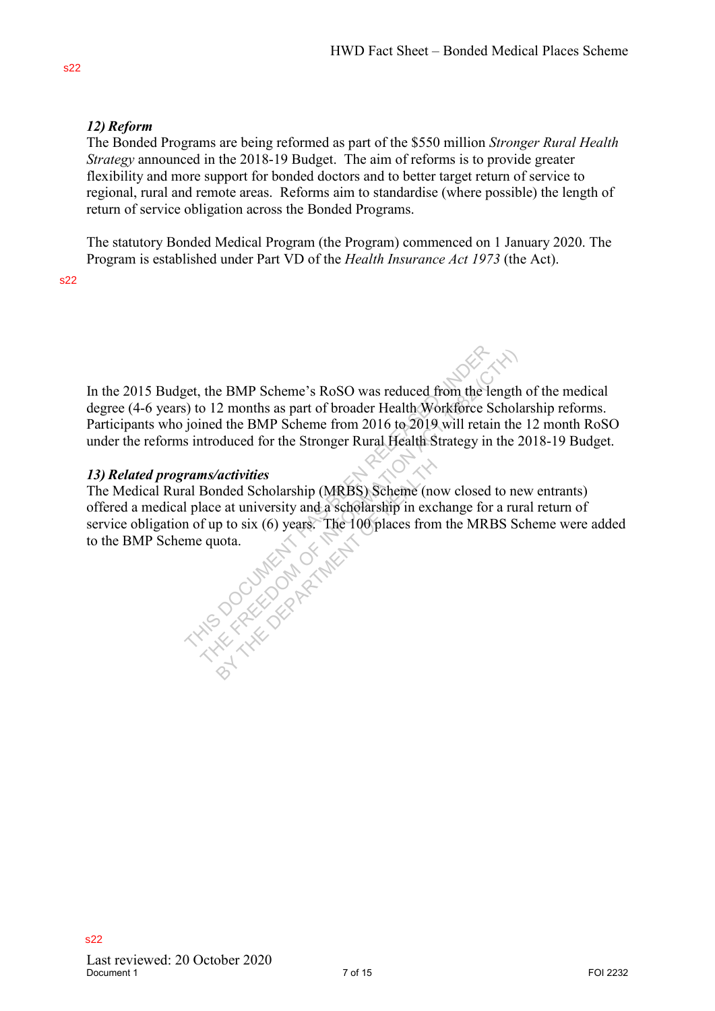# *12) Reform*

The Bonded Programs are being reformed as part of the \$550 million *Stronger Rural Health Strategy* announced in the 2018-19 Budget. The aim of reforms is to provide greater flexibility and more support for bonded doctors and to better target return of service to regional, rural and remote areas. Reforms aim to standardise (where possible) the length of return of service obligation across the Bonded Programs.

The statutory Bonded Medical Program (the Program) commenced on 1 January 2020. The Program is established under Part VD of the *Health Insurance Act 1973* (the Act).

s22

In the 2015 Budget, the BMP Scheme's RoSO was reduced from the length of the medical degree (4-6 years) to 12 months as part of broader Health Workforce Scholarship reforms. Participants who joined the BMP Scheme from 2016 to 2019 will retain the 12 month RoSO under the reforms introduced for the Stronger Rural Health Strategy in the 2018-19 Budget.

# *13) Related programs/activities*

The Medical Rural Bonded Scholarship (MRBS) Scheme (now closed to new entrants) offered a medical place at university and a scholarship in exchange for a rural return of service obligation of up to six (6) years. The 100 places from the MRBS Scheme were added to the BMP Scheme quota. In the 2015 Budget, the BMP Scheme's RoSO was reduced from the length of the medical<br>elegrec (4-6 years) to 12 membris is part of broader Heulth Workforce Scholarship reforms.<br>Participants who joined the BMP Scheme from 2 the BMP Scheme's RoSO was reduced from the length<br>o 12 months as part of broader Health Workforce Schola<br>ined the BMP Scheme from 2016 to 2019 will retain the<br>atroduced for the Stronger Rural Health Strategy in the 2<br>ms/ac activities<br>
mded Scholarship (MRBS) Scheme (no<br>
e at university and a scholarship in exc<br>
p to six (6) years. The 100 places from<br>
at the scholarship<br>
dependence of the scholarship<br>
contains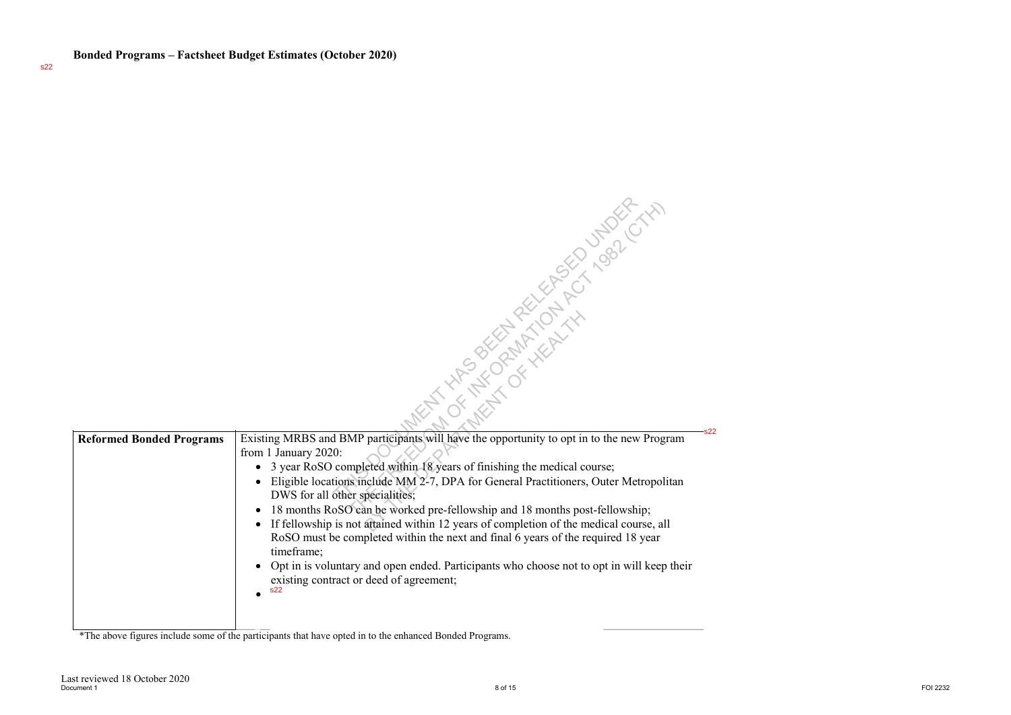|                                 | NT XIRS OF REACTION 1992 CTXX                                                                                                                                                                                                                                                                                                                    |          |
|---------------------------------|--------------------------------------------------------------------------------------------------------------------------------------------------------------------------------------------------------------------------------------------------------------------------------------------------------------------------------------------------|----------|
|                                 |                                                                                                                                                                                                                                                                                                                                                  |          |
| <b>Reformed Bonded Programs</b> | Existing MRBS and BMP participants will have the opportunity to opt in to the new Program<br>from 1 January 2020:<br>3 year RoSO completed within 18 years of finishing the medical course;<br>$\bullet$<br>Eligible locations include MM 2-7, DPA for General Practitioners, Outer Metropolitan<br>$\bullet$<br>DWS for all other specialities; |          |
|                                 | 18 months RoSO can be worked pre-fellowship and 18 months post-fellowship;<br>$\bullet$<br>If fellowship is not attained within 12 years of completion of the medical course, all<br>$\bullet$<br>RoSO must be completed within the next and final 6 years of the required 18 year<br>timeframe;                                                 |          |
|                                 | Opt in is voluntary and open ended. Participants who choose not to opt in will keep their<br>$\bullet$<br>existing contract or deed of agreement;<br><b>s22</b>                                                                                                                                                                                  |          |
| Last reviewed 18 October 2020   | *The above figures include some of the participants that have opted in to the enhanced Bonded Programs.                                                                                                                                                                                                                                          |          |
| Document 1                      | 8 of 15                                                                                                                                                                                                                                                                                                                                          | FOI 2232 |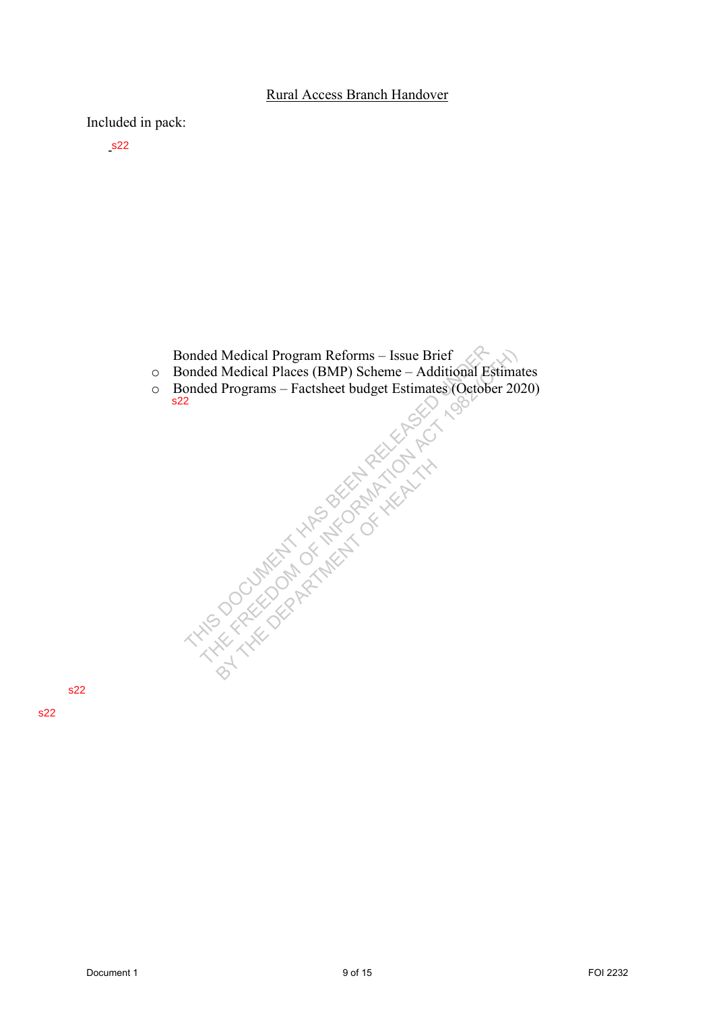#### Rural Access Branch Handover

Included in pack:

- s22

Bonded Medical Program Reforms – Issue Brief

- o Bonded Medical Places (BMP) Scheme Additional Estimates
- o Bonded Programs Factsheet budget Estimates (October 2020) s22 Document 1 9 of 15 FOI 2232 THIS DOCUMENT HAS BEEN RELEASED UNDER THE FREEDOM OF INFORMATION ACT 1982 (CTH)

BY THE DEPARTMENT OF HEALTH AND

s22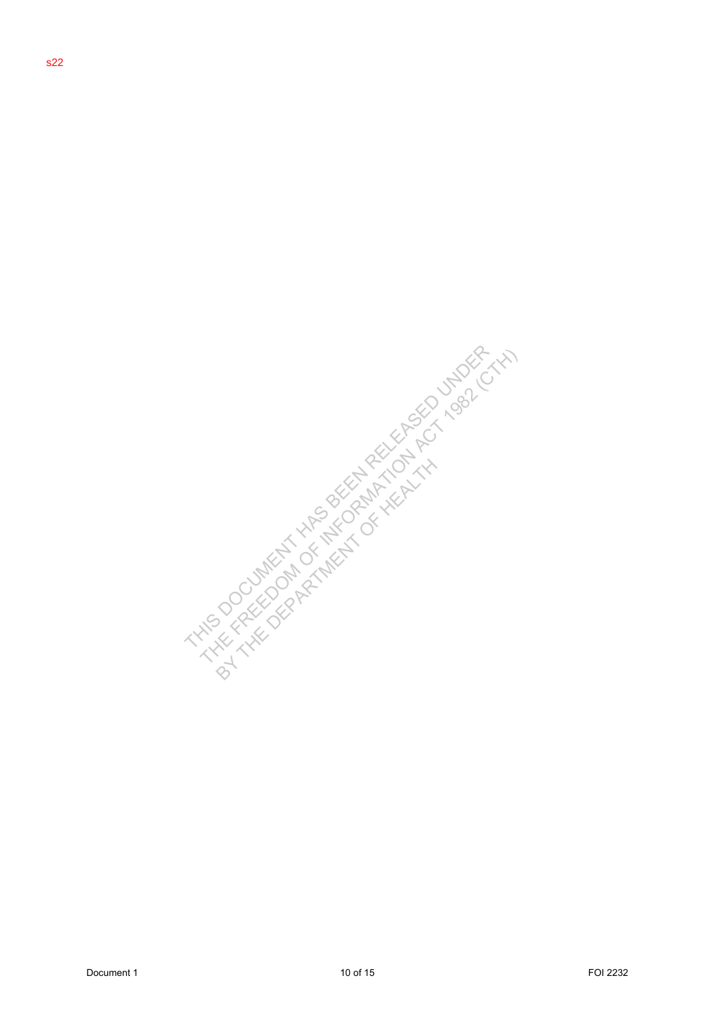Document 1 10 of 15 FOI 2232 THIS DOCUMENT HAS BEEN RELEASED UNDER THE FREEDOM OF INFORMATION ACT 1982 (CTH) BY THE DEPARTMENT OF HEALTH AND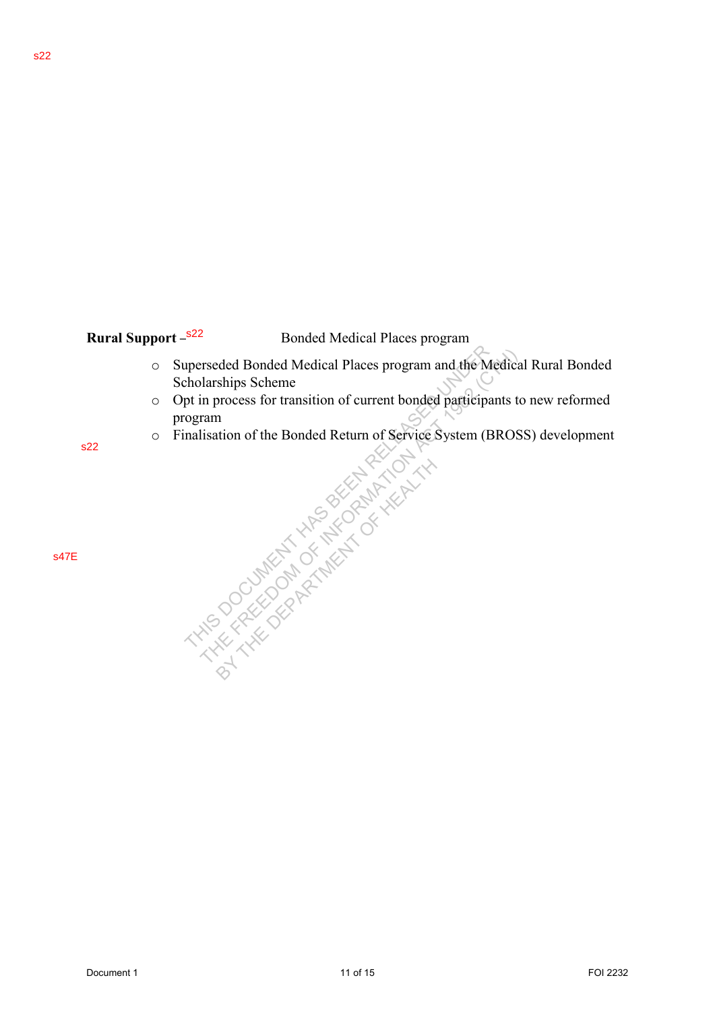# **Rural Support - s22**

**Bonded Medical Places program** 

- o Superseded Bonded Medical Places program and the Medical Rural Bonded Scholarships Scheme Superseded Bonded Medical Places program and the Medical Rural Bonded<br>
Scholarships Schenes For transition of current bonded participants to new reformed<br>
program<br>
22<br>
22<br>
22<br>
2232<br>
2232<br>
2232<br>
2232<br>
2322<br>
2322<br>
2323<br>
2323
	- o Opt in process for transition of current bonded participants to new reformed program
	- o Finalisation of the Bonded Return of Service System (BROSS) development

BY THE DEPARTMENT OF HEALTH AND

s22

s47E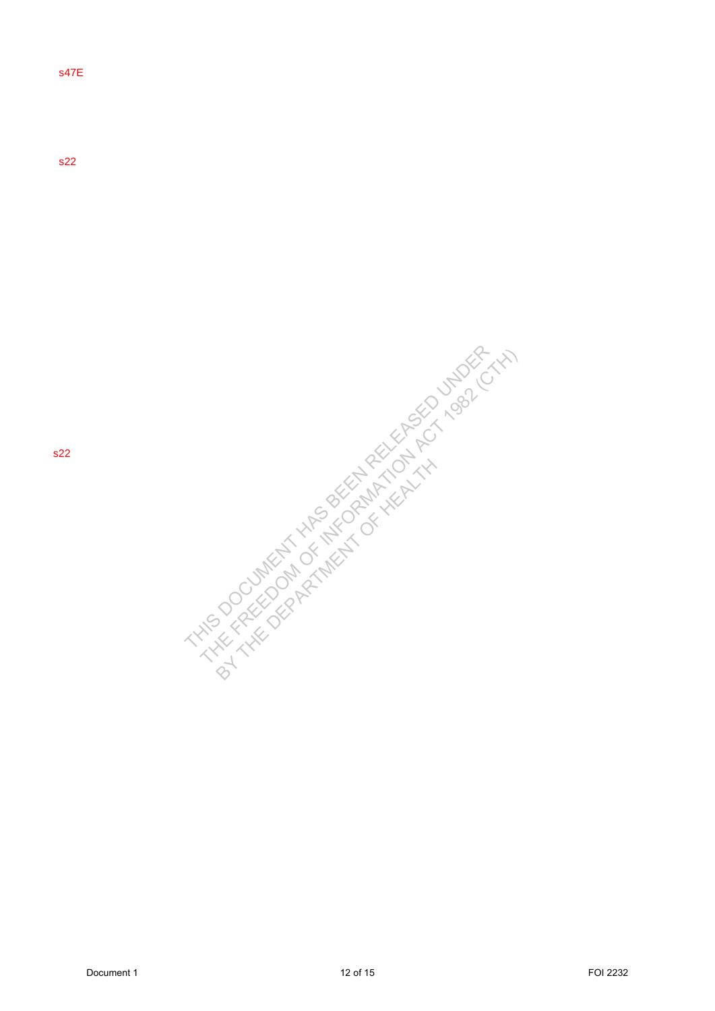s47E

s22

DOCUMENT 1 12 of 15 FOI 2332 THE FREEDOM OF INSTRUMENT HAS BEEN RELEASED UNDER THE FREEDOM OF INSTRUMENT HAS BEEN RELEASED UNDER THE FREEDOM OF INSTRUMENT HAS BEEN RELEASED UNDER THE FREEDOM OF INSTRUMENT HAS A THE FREEDOM BY THE DEPARTMENT OF HEALTH AND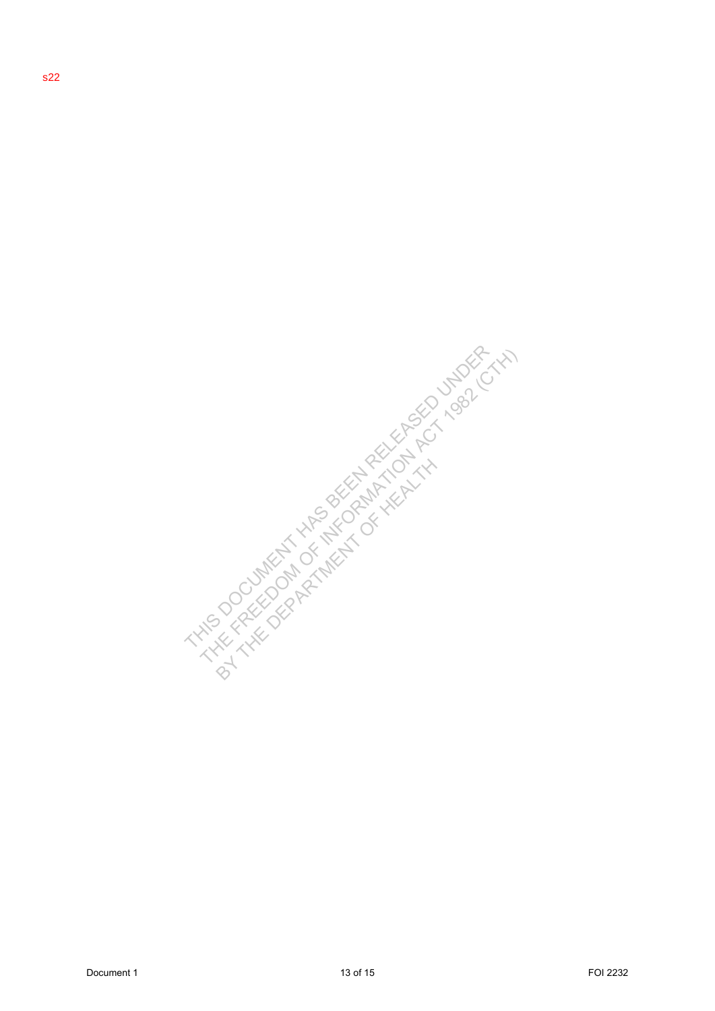Document 1 13 of 15 FOI 2232 THIS DOCUMENT HAS BEEN RELEASED UNDER THE FREEDOM OF INFORMATION ACT 1982 (CTH) BY THE DEPARTMENT OF HEALTH AND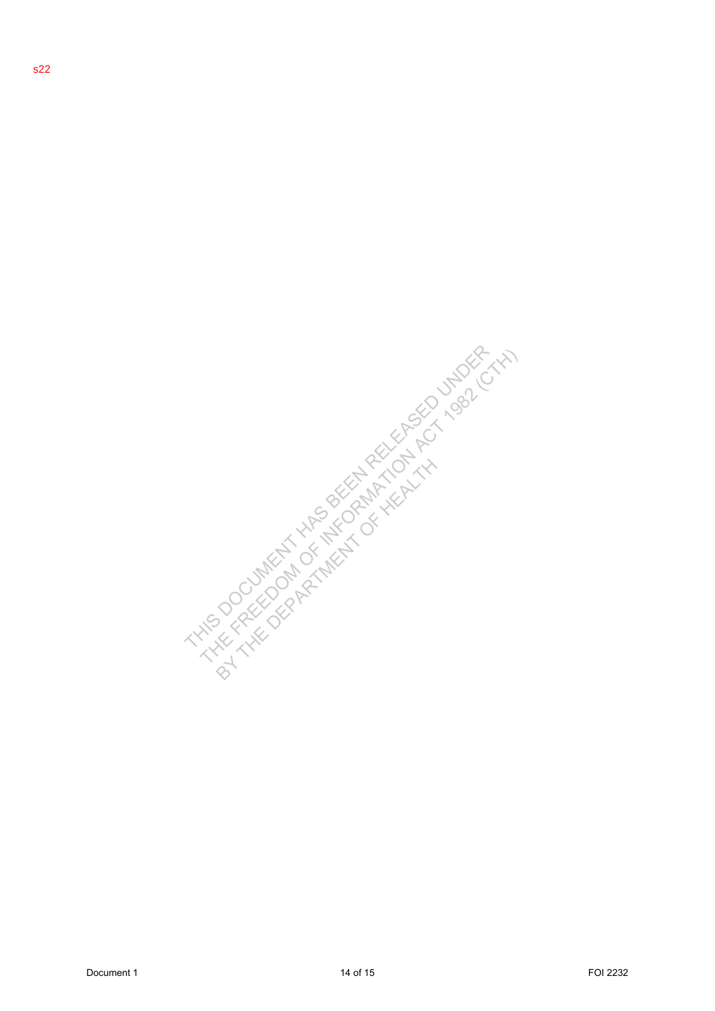DOCUMENT 1 14 of 15 FOI 2232 THE FREEDOM OF INSTRUMENT HAS BEEN RELEASED UNDER VALUE OF THE FREEDOM OF INSTRUMENT WAS ARRESTED UNDER THE FREEDOM OF INSTRUMENT WAS ARRESTED UNDER THE FREEDOM OF INSTRUMENT WAS ARRESTED UNDER BY THE DEPARTMENT OF HEALTH AND